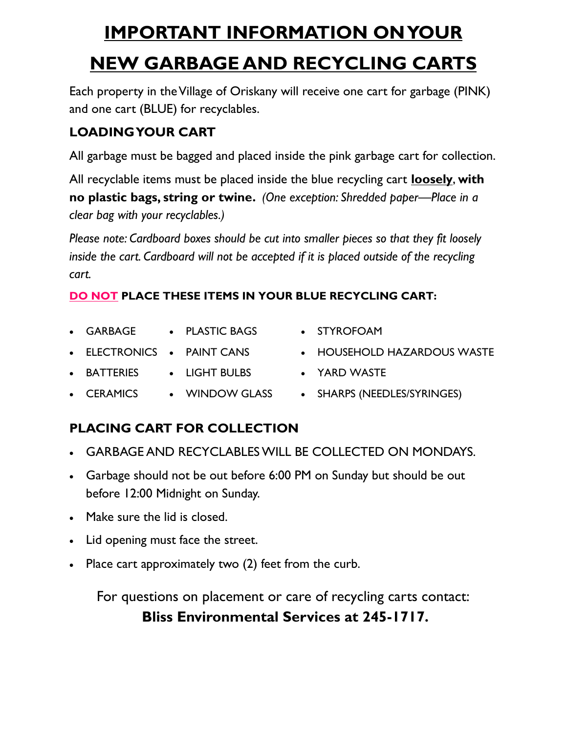# **IMPORTANT INFORMATION ON YOUR NEW GARBAGE AND RECYCLING CARTS**

Each property in the Village of Oriskany will receive one cart for garbage (PINK) and one cart (BLUE) for recyclables.

# **LOADING YOUR CART**

All garbage must be bagged and placed inside the pink garbage cart for collection.

All recyclable items must be placed inside the blue recycling cart **loosely**, **with no plastic bags, string or twine.** *(One exception: Shredded paper—Place in a clear bag with your recyclables.)*

*Please note: Cardboard boxes should be cut into smaller pieces so that they fit loosely inside the cart. Cardboard will not be accepted if it is placed outside of the recycling cart.*

# **DO NOT PLACE THESE ITEMS IN YOUR BLUE RECYCLING CART:**

- GARBAGE • PLASTIC BAGS
- ELECTRONICS PAINT CANS
- BATTERIES • LIGHT BULBS
	- CERAMICS WINDOW GLASS
- SHARPS (NEEDLES/SYRINGES)

HOUSEHOLD HAZARDOUS WASTE

• STYROFOAM

YARD WASTE

# **PLACING CART FOR COLLECTION**

- GARBAGE AND RECYCLABLES WILL BE COLLECTED ON MONDAYS.
- Garbage should not be out before 6:00 PM on Sunday but should be out before 12:00 Midnight on Sunday.
- Make sure the lid is closed.
- Lid opening must face the street.
- Place cart approximately two (2) feet from the curb.

For questions on placement or care of recycling carts contact: **Bliss Environmental Services at 245-1717.**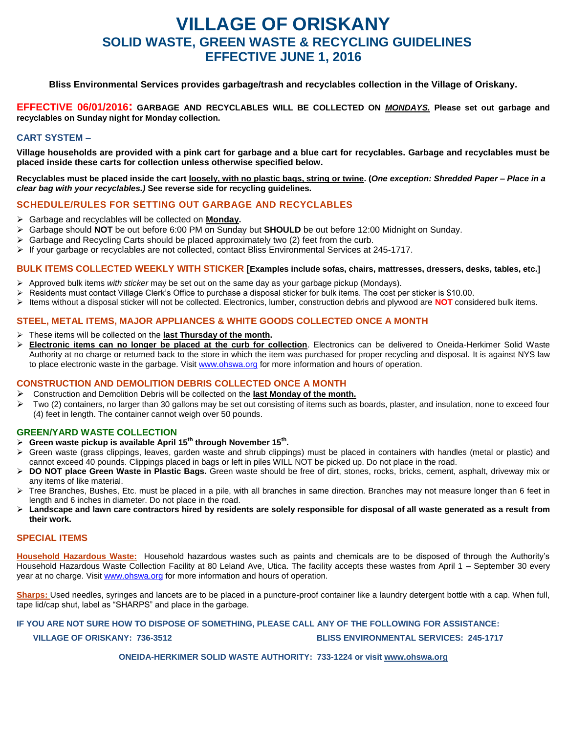# **VILLAGE OF ORISKANY SOLID WASTE, GREEN WASTE & RECYCLING GUIDELINES EFFECTIVE JUNE 1, 2016**

**Bliss Environmental Services provides garbage/trash and recyclables collection in the Village of Oriskany.**

**EFFECTIVE 06/01/2016: GARBAGE AND RECYCLABLES WILL BE COLLECTED ON** *MONDAYS.* **Please set out garbage and recyclables on Sunday night for Monday collection.**

## **CART SYSTEM –**

**Village households are provided with a pink cart for garbage and a blue cart for recyclables. Garbage and recyclables must be placed inside these carts for collection unless otherwise specified below.**

**Recyclables must be placed inside the cart loosely, with no plastic bags, string or twine. (***One exception: Shredded Paper – Place in a clear bag with your recyclables.)* **See reverse side for recycling guidelines.**

### **SCHEDULE/RULES FOR SETTING OUT GARBAGE AND RECYCLABLES**

- Garbage and recyclables will be collected on **Monday.**
- Garbage should **NOT** be out before 6:00 PM on Sunday but **SHOULD** be out before 12:00 Midnight on Sunday.
- $\triangleright$  Garbage and Recycling Carts should be placed approximately two (2) feet from the curb.
- $\triangleright$  If your garbage or recyclables are not collected, contact Bliss Environmental Services at 245-1717.

### **BULK ITEMS COLLECTED WEEKLY WITH STICKER [Examples include sofas, chairs, mattresses, dressers, desks, tables, etc.]**

- Approved bulk items *with sticker* may be set out on the same day as your garbage pickup (Mondays).
- $\triangleright$  Residents must contact Village Clerk's Office to purchase a disposal sticker for bulk items. The cost per sticker is \$10.00.
- Items without a disposal sticker will not be collected. Electronics, lumber, construction debris and plywood are **NOT** considered bulk items.

## **STEEL, METAL ITEMS, MAJOR APPLIANCES & WHITE GOODS COLLECTED ONCE A MONTH**

- These items will be collected on the **last Thursday of the month.**
- **Electronic items can no longer be placed at the curb for collection**. Electronics can be delivered to Oneida-Herkimer Solid Waste Authority at no charge or returned back to the store in which the item was purchased for proper recycling and disposal. It is against NYS law to place electronic waste in the garbage. Visi[t www.ohswa.org](http://www.ohswa.org/) for more information and hours of operation.

### **CONSTRUCTION AND DEMOLITION DEBRIS COLLECTED ONCE A MONTH**

- Construction and Demolition Debris will be collected on the **last Monday of the month.**
- $\triangleright$  Two (2) containers, no larger than 30 gallons may be set out consisting of items such as boards, plaster, and insulation, none to exceed four (4) feet in length. The container cannot weigh over 50 pounds.

### **GREEN/YARD WASTE COLLECTION**

- **Green waste pickup is available April 15th through November 15th .**
- $\triangleright$  Green waste (grass clippings, leaves, garden waste and shrub clippings) must be placed in containers with handles (metal or plastic) and cannot exceed 40 pounds. Clippings placed in bags or left in piles WILL NOT be picked up. Do not place in the road.
- **DO NOT place Green Waste in Plastic Bags.** Green waste should be free of dirt, stones, rocks, bricks, cement, asphalt, driveway mix or any items of like material.
- $\triangleright$  Tree Branches, Bushes, Etc. must be placed in a pile, with all branches in same direction. Branches may not measure longer than 6 feet in length and 6 inches in diameter. Do not place in the road.
- **Landscape and lawn care contractors hired by residents are solely responsible for disposal of all waste generated as a result from their work.**

### **SPECIAL ITEMS**

**Household Hazardous Waste:** Household hazardous wastes such as paints and chemicals are to be disposed of through the Authority's Household Hazardous Waste Collection Facility at 80 Leland Ave, Utica. The facility accepts these wastes from April 1 – September 30 every year at no charge. Visi[t www.ohswa.org](http://www.ohswa.org/) for more information and hours of operation.

**Sharps:** Used needles, syringes and lancets are to be placed in a puncture-proof container like a laundry detergent bottle with a cap. When full, tape lid/cap shut, label as "SHARPS" and place in the garbage.

**IF YOU ARE NOT SURE HOW TO DISPOSE OF SOMETHING, PLEASE CALL ANY OF THE FOLLOWING FOR ASSISTANCE:** 

 **VILLAGE OF ORISKANY: 736-3512 BLISS ENVIRONMENTAL SERVICES: 245-1717**

**ONEIDA-HERKIMER SOLID WASTE AUTHORITY: 733-1224 or visit [www.ohswa.org](http://www.ohswa.org/)**